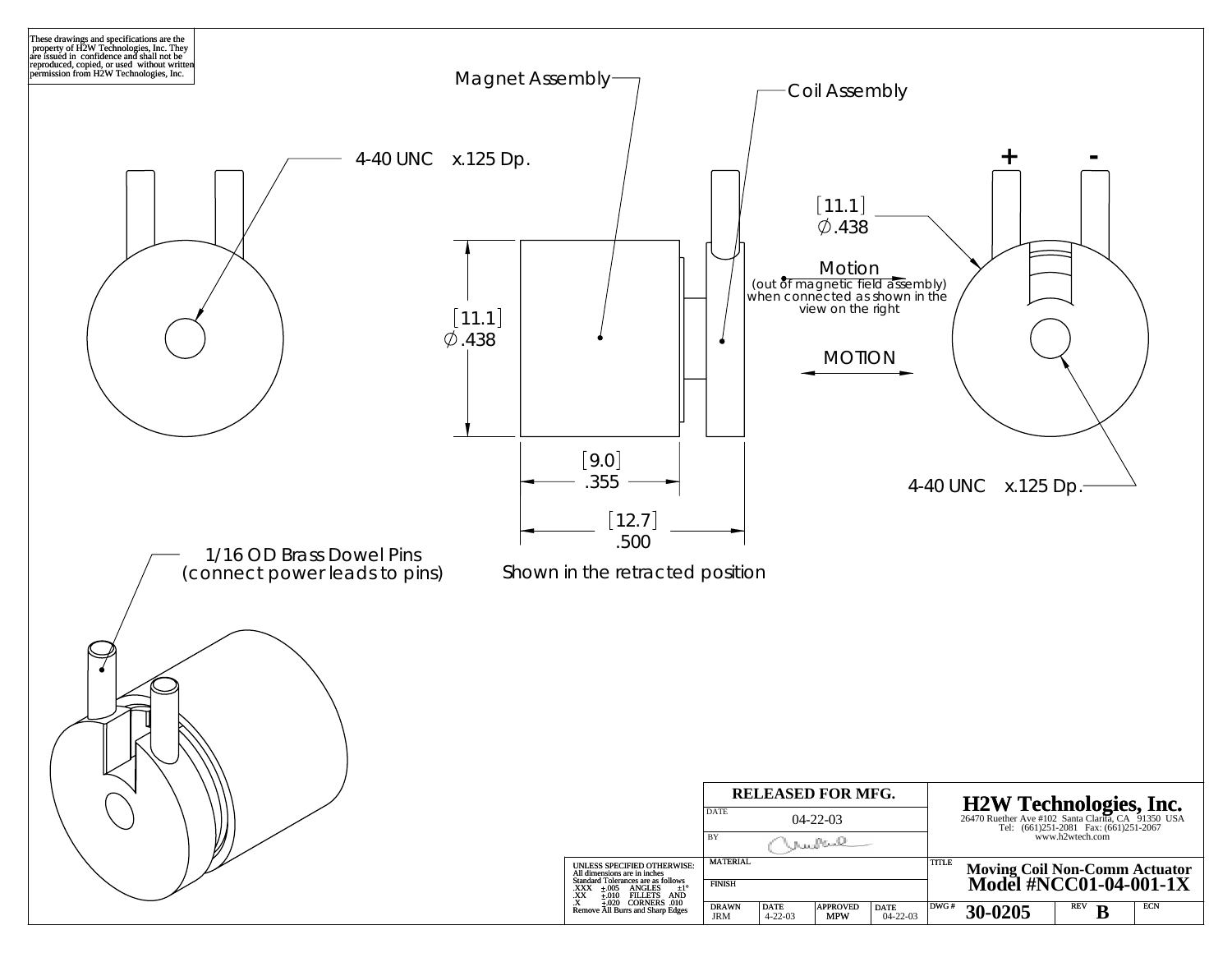